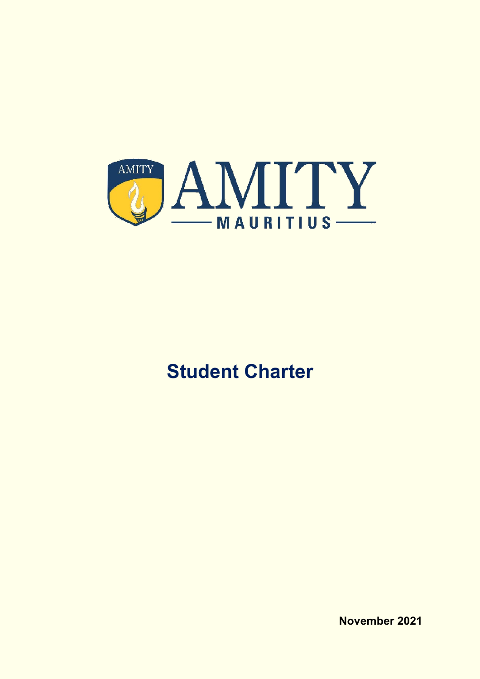

# **Student Charter**

**November 2021**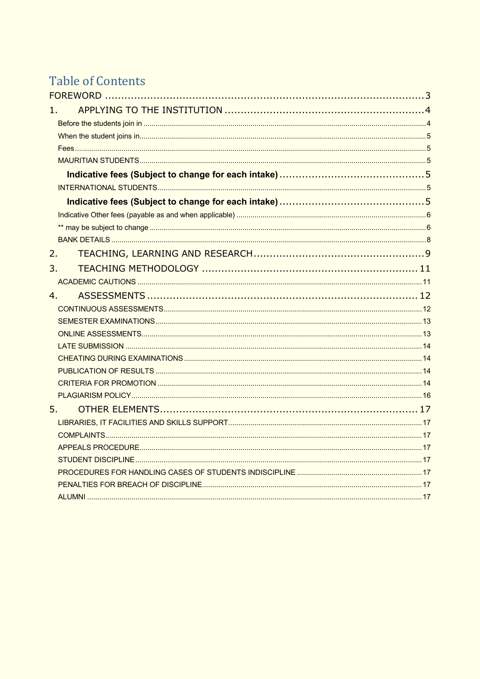## Table of Contents

| 1  |    |  |
|----|----|--|
|    |    |  |
|    |    |  |
|    |    |  |
|    |    |  |
|    |    |  |
|    |    |  |
|    |    |  |
|    |    |  |
|    |    |  |
|    |    |  |
| 2. |    |  |
| 3. |    |  |
|    |    |  |
| 4. |    |  |
|    |    |  |
|    |    |  |
|    |    |  |
|    |    |  |
|    |    |  |
|    |    |  |
|    |    |  |
|    |    |  |
|    | 5. |  |
|    |    |  |
|    |    |  |
|    |    |  |
|    |    |  |
|    |    |  |
|    |    |  |
|    |    |  |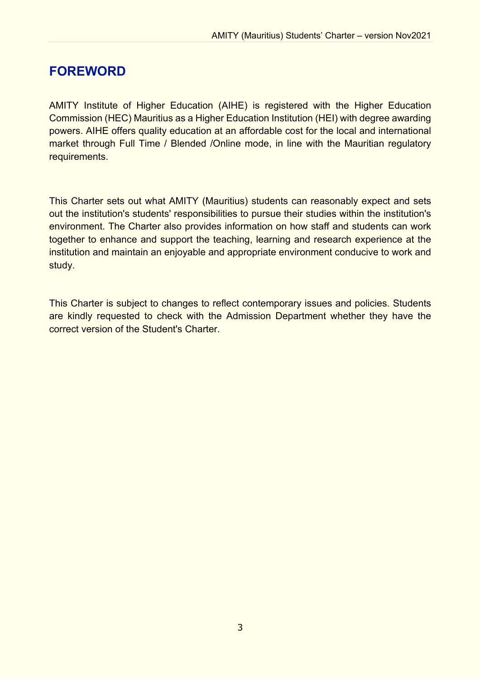## **FOREWORD**

AMITY Institute of Higher Education (AIHE) is registered with the Higher Education Commission (HEC) Mauritius as a Higher Education Institution (HEI) with degree awarding powers. AIHE offers quality education at an affordable cost for the local and international market through Full Time / Blended /Online mode, in line with the Mauritian regulatory requirements.

This Charter sets out what AMITY (Mauritius) students can reasonably expect and sets out the institution's students' responsibilities to pursue their studies within the institution's environment. The Charter also provides information on how staff and students can work together to enhance and support the teaching, learning and research experience at the institution and maintain an enjoyable and appropriate environment conducive to work and study.

This Charter is subject to changes to reflect contemporary issues and policies. Students are kindly requested to check with the Admission Department whether they have the correct version of the Student's Charter.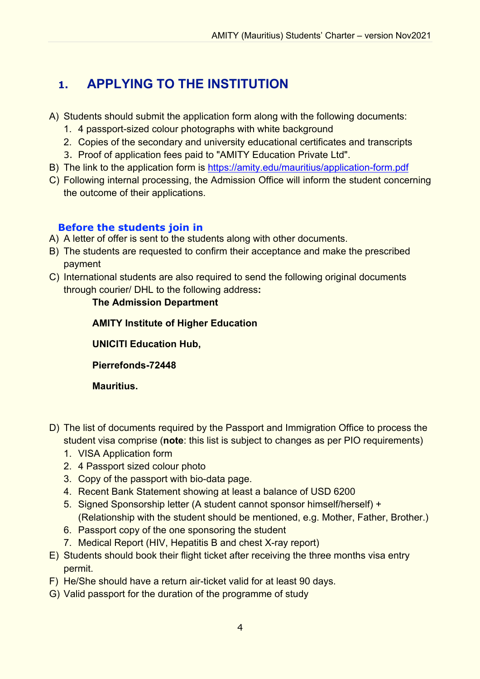## **1. APPLYING TO THE INSTITUTION**

- A) Students should submit the application form along with the following documents:
	- 1. 4 passport-sized colour photographs with white background
	- 2. Copies of the secondary and university educational certificates and transcripts
	- 3. Proof of application fees paid to "AMITY Education Private Ltd".
- B) The link to the application form is https://amity.edu/mauritius/application-form.pdf
- C) Following internal processing, the Admission Office will inform the student concerning the outcome of their applications.

## **Before the students join in**

- A) A letter of offer is sent to the students along with other documents.
- B) The students are requested to confirm their acceptance and make the prescribed payment
- C) International students are also required to send the following original documents through courier/ DHL to the following address**:**

## **The Admission Department**

**AMITY Institute of Higher Education**

**UNICITI Education Hub,**

**Pierrefonds-72448**

**Mauritius.**

- D) The list of documents required by the Passport and Immigration Office to process the student visa comprise (**note**: this list is subject to changes as per PIO requirements)
	- 1. VISA Application form
	- 2. 4 Passport sized colour photo
	- 3. Copy of the passport with bio-data page.
	- 4. Recent Bank Statement showing at least a balance of USD 6200
	- 5. Signed Sponsorship letter (A student cannot sponsor himself/herself) + (Relationship with the student should be mentioned, e.g. Mother, Father, Brother.)
	- 6. Passport copy of the one sponsoring the student
	- 7. Medical Report (HIV, Hepatitis B and chest X-ray report)
- E) Students should book their flight ticket after receiving the three months visa entry permit.
- F) He/She should have a return air-ticket valid for at least 90 days.
- G) Valid passport for the duration of the programme of study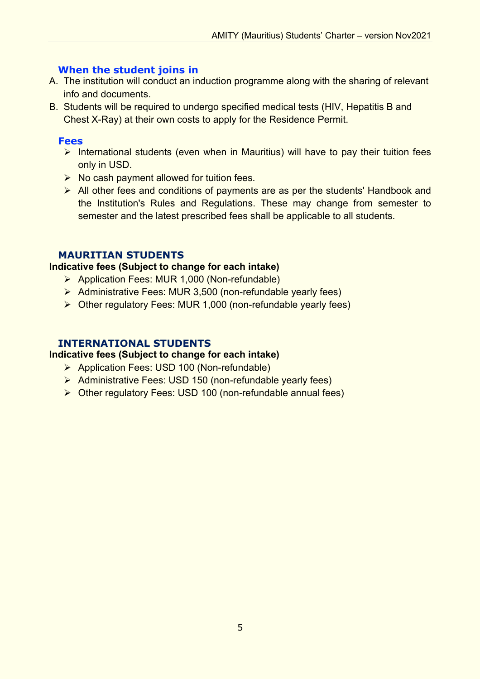## **When the student joins in**

- A. The institution will conduct an induction programme along with the sharing of relevant info and documents.
- B. Students will be required to undergo specified medical tests (HIV, Hepatitis B and Chest X-Ray) at their own costs to apply for the Residence Permit.

## **Fees**

- $\triangleright$  International students (even when in Mauritius) will have to pay their tuition fees only in USD.
- $\triangleright$  No cash payment allowed for tuition fees.
- $\triangleright$  All other fees and conditions of payments are as per the students' Handbook and the Institution's Rules and Regulations. These may change from semester to semester and the latest prescribed fees shall be applicable to all students.

## **MAURITIAN STUDENTS**

#### **Indicative fees (Subject to change for each intake)**

- Ø Application Fees: MUR 1,000 (Non-refundable)
- Ø Administrative Fees: MUR 3,500 (non-refundable yearly fees)
- $\triangleright$  Other regulatory Fees: MUR 1,000 (non-refundable yearly fees)

## **INTERNATIONAL STUDENTS**

#### **Indicative fees (Subject to change for each intake)**

- Ø Application Fees: USD 100 (Non-refundable)
- Ø Administrative Fees: USD 150 (non-refundable yearly fees)
- $\triangleright$  Other regulatory Fees: USD 100 (non-refundable annual fees)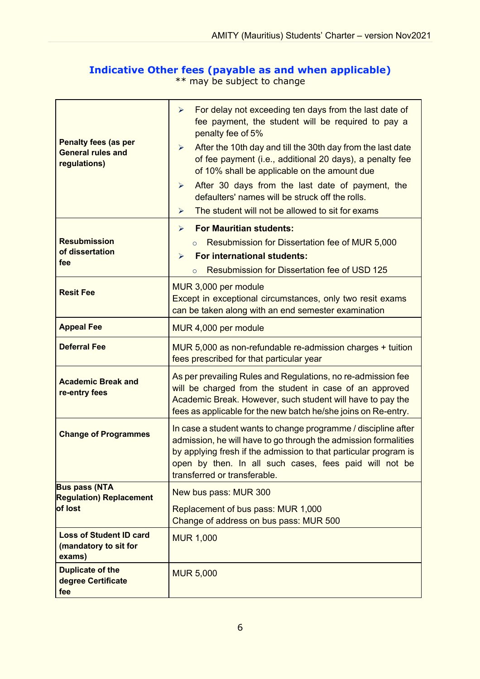## **Indicative Other fees (payable as and when applicable)**

\*\* may be subject to change

| <b>Penalty fees (as per</b><br><b>General rules and</b><br>regulations) | For delay not exceeding ten days from the last date of<br>➤<br>fee payment, the student will be required to pay a<br>penalty fee of 5%<br>After the 10th day and till the 30th day from the last date<br>$\blacktriangleright$<br>of fee payment (i.e., additional 20 days), a penalty fee<br>of 10% shall be applicable on the amount due<br>After 30 days from the last date of payment, the<br>$\blacktriangleright$<br>defaulters' names will be struck off the rolls.<br>The student will not be allowed to sit for exams<br>➤ |  |
|-------------------------------------------------------------------------|-------------------------------------------------------------------------------------------------------------------------------------------------------------------------------------------------------------------------------------------------------------------------------------------------------------------------------------------------------------------------------------------------------------------------------------------------------------------------------------------------------------------------------------|--|
|                                                                         | <b>For Mauritian students:</b><br>➤                                                                                                                                                                                                                                                                                                                                                                                                                                                                                                 |  |
| <b>Resubmission</b><br>of dissertation                                  | Resubmission for Dissertation fee of MUR 5,000<br>$\circ$<br><b>For international students:</b><br>➤                                                                                                                                                                                                                                                                                                                                                                                                                                |  |
| fee                                                                     | <b>Resubmission for Dissertation fee of USD 125</b><br>$\circ$                                                                                                                                                                                                                                                                                                                                                                                                                                                                      |  |
| <b>Resit Fee</b>                                                        | MUR 3,000 per module<br>Except in exceptional circumstances, only two resit exams<br>can be taken along with an end semester examination                                                                                                                                                                                                                                                                                                                                                                                            |  |
| <b>Appeal Fee</b>                                                       | MUR 4,000 per module                                                                                                                                                                                                                                                                                                                                                                                                                                                                                                                |  |
| <b>Deferral Fee</b>                                                     | MUR 5,000 as non-refundable re-admission charges + tuition<br>fees prescribed for that particular year                                                                                                                                                                                                                                                                                                                                                                                                                              |  |
| <b>Academic Break and</b><br>re-entry fees                              | As per prevailing Rules and Regulations, no re-admission fee<br>will be charged from the student in case of an approved<br>Academic Break. However, such student will have to pay the<br>fees as applicable for the new batch he/she joins on Re-entry.                                                                                                                                                                                                                                                                             |  |
| <b>Change of Programmes</b>                                             | In case a student wants to change programme / discipline after<br>admission, he will have to go through the admission formalities<br>by applying fresh if the admission to that particular program is<br>open by then. In all such cases, fees paid will not be<br>transferred or transferable.                                                                                                                                                                                                                                     |  |
| <b>Bus pass (NTA</b><br><b>Regulation) Replacement</b>                  | New bus pass: MUR 300                                                                                                                                                                                                                                                                                                                                                                                                                                                                                                               |  |
| of lost                                                                 | Replacement of bus pass: MUR 1,000<br>Change of address on bus pass: MUR 500                                                                                                                                                                                                                                                                                                                                                                                                                                                        |  |
| <b>Loss of Student ID card</b><br>(mandatory to sit for<br>exams)       | <b>MUR 1,000</b>                                                                                                                                                                                                                                                                                                                                                                                                                                                                                                                    |  |
| <b>Duplicate of the</b><br>degree Certificate<br>fee                    | <b>MUR 5,000</b>                                                                                                                                                                                                                                                                                                                                                                                                                                                                                                                    |  |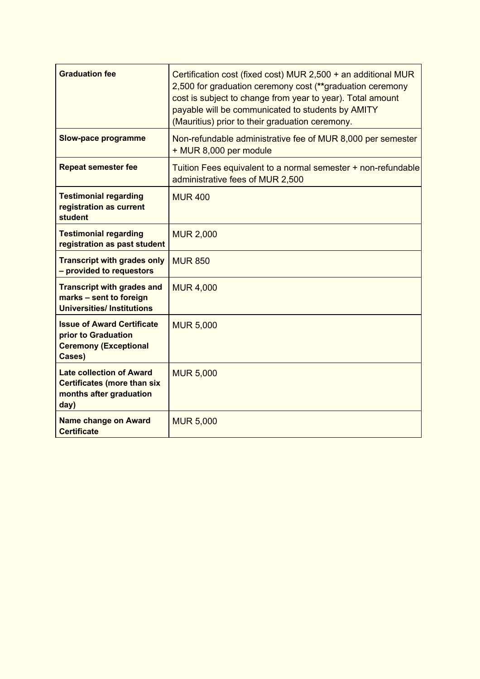| <b>Graduation fee</b>                                                                                    | Certification cost (fixed cost) MUR 2,500 + an additional MUR<br>2,500 for graduation ceremony cost (**graduation ceremony<br>cost is subject to change from year to year). Total amount<br>payable will be communicated to students by AMITY<br>(Mauritius) prior to their graduation ceremony. |
|----------------------------------------------------------------------------------------------------------|--------------------------------------------------------------------------------------------------------------------------------------------------------------------------------------------------------------------------------------------------------------------------------------------------|
| <b>Slow-pace programme</b>                                                                               | Non-refundable administrative fee of MUR 8,000 per semester<br>+ MUR 8,000 per module                                                                                                                                                                                                            |
| <b>Repeat semester fee</b>                                                                               | Tuition Fees equivalent to a normal semester + non-refundable<br>administrative fees of MUR 2,500                                                                                                                                                                                                |
| <b>Testimonial regarding</b><br>registration as current<br>student                                       | <b>MUR 400</b>                                                                                                                                                                                                                                                                                   |
| <b>Testimonial regarding</b><br>registration as past student                                             | <b>MUR 2,000</b>                                                                                                                                                                                                                                                                                 |
| <b>Transcript with grades only</b><br>- provided to requestors                                           | <b>MUR 850</b>                                                                                                                                                                                                                                                                                   |
| <b>Transcript with grades and</b><br>marks - sent to foreign<br><b>Universities/Institutions</b>         | <b>MUR 4,000</b>                                                                                                                                                                                                                                                                                 |
| <b>Issue of Award Certificate</b><br>prior to Graduation<br><b>Ceremony (Exceptional</b><br>Cases)       | <b>MUR 5,000</b>                                                                                                                                                                                                                                                                                 |
| <b>Late collection of Award</b><br><b>Certificates (more than six</b><br>months after graduation<br>day) | <b>MUR 5,000</b>                                                                                                                                                                                                                                                                                 |
| <b>Name change on Award</b><br><b>Certificate</b>                                                        | <b>MUR 5,000</b>                                                                                                                                                                                                                                                                                 |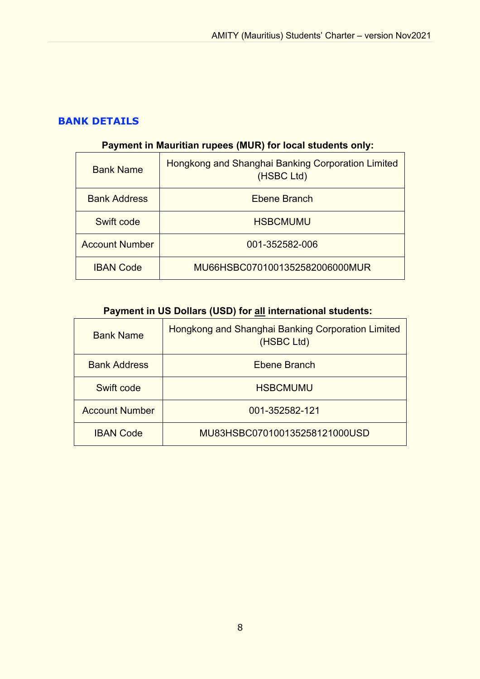## **BANK DETAILS**

## **Payment in Mauritian rupees (MUR) for local students only:**

| <b>Bank Name</b>      | Hongkong and Shanghai Banking Corporation Limited<br>(HSBC Ltd) |
|-----------------------|-----------------------------------------------------------------|
| <b>Bank Address</b>   | Ebene Branch                                                    |
| Swift code            | <b>HSBCMUMU</b>                                                 |
| <b>Account Number</b> | 001-352582-006                                                  |
| <b>IBAN Code</b>      | MU66HSBC0701001352582006000MUR                                  |

## **Payment in US Dollars (USD) for all international students:**

| <b>Bank Name</b>      | Hongkong and Shanghai Banking Corporation Limited<br>(HSBC Ltd) |
|-----------------------|-----------------------------------------------------------------|
| <b>Bank Address</b>   | <b>Ebene Branch</b>                                             |
| Swift code            | <b>HSBCMUMU</b>                                                 |
| <b>Account Number</b> | 001-352582-121                                                  |
| <b>IBAN Code</b>      | MU83HSBC070100135258121000USD                                   |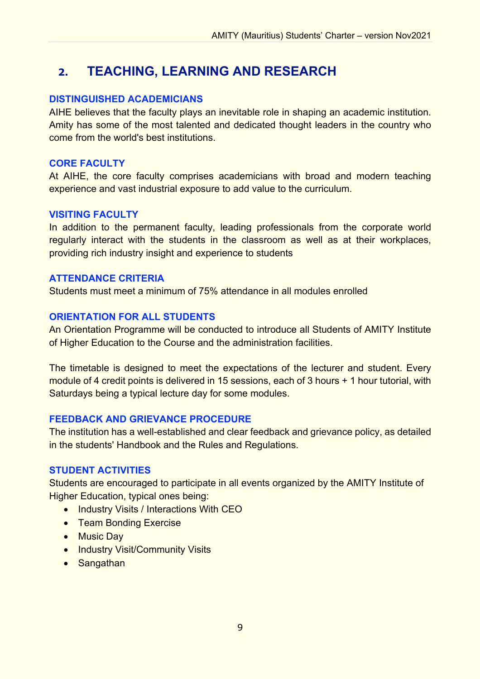## **2. TEACHING, LEARNING AND RESEARCH**

#### **DISTINGUISHED ACADEMICIANS**

AIHE believes that the faculty plays an inevitable role in shaping an academic institution. Amity has some of the most talented and dedicated thought leaders in the country who come from the world's best institutions.

#### **CORE FACULTY**

At AIHE, the core faculty comprises academicians with broad and modern teaching experience and vast industrial exposure to add value to the curriculum.

#### **VISITING FACULTY**

In addition to the permanent faculty, leading professionals from the corporate world regularly interact with the students in the classroom as well as at their workplaces, providing rich industry insight and experience to students

#### **ATTENDANCE CRITERIA**

Students must meet a minimum of 75% attendance in all modules enrolled

### **ORIENTATION FOR ALL STUDENTS**

An Orientation Programme will be conducted to introduce all Students of AMITY Institute of Higher Education to the Course and the administration facilities.

The timetable is designed to meet the expectations of the lecturer and student. Every module of 4 credit points is delivered in 15 sessions, each of 3 hours + 1 hour tutorial, with Saturdays being a typical lecture day for some modules.

### **FEEDBACK AND GRIEVANCE PROCEDURE**

The institution has a well-established and clear feedback and grievance policy, as detailed in the students' Handbook and the Rules and Regulations.

#### **STUDENT ACTIVITIES**

Students are encouraged to participate in all events organized by the AMITY Institute of Higher Education, typical ones being:

- Industry Visits / Interactions With CEO
- Team Bonding Exercise
- Music Day
- Industry Visit/Community Visits
- Sangathan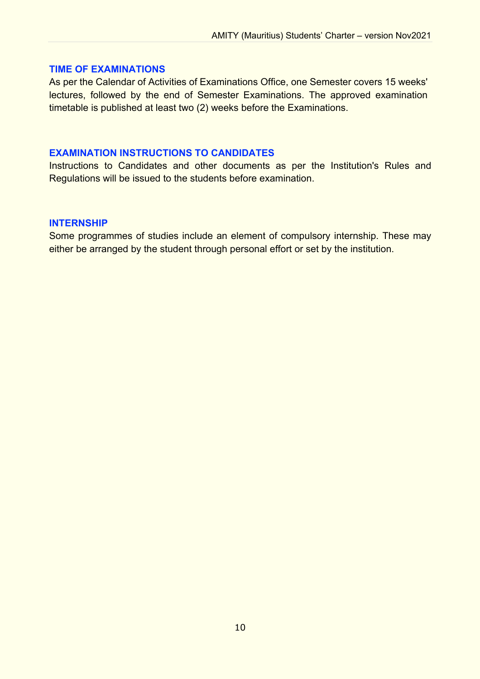#### **TIME OF EXAMINATIONS**

As per the Calendar of Activities of Examinations Office, one Semester covers 15 weeks' lectures, followed by the end of Semester Examinations. The approved examination timetable is published at least two (2) weeks before the Examinations.

#### **EXAMINATION INSTRUCTIONS TO CANDIDATES**

Instructions to Candidates and other documents as per the Institution's Rules and Regulations will be issued to the students before examination.

#### **INTERNSHIP**

Some programmes of studies include an element of compulsory internship. These may either be arranged by the student through personal effort or set by the institution.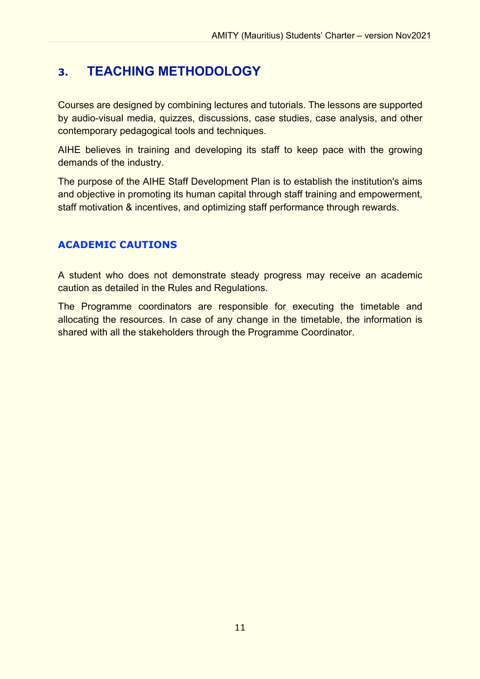## **3. TEACHING METHODOLOGY**

Courses are designed by combining lectures and tutorials. The lessons are supported by audio-visual media, quizzes, discussions, case studies, case analysis, and other contemporary pedagogical tools and techniques.

AIHE believes in training and developing its staff to keep pace with the growing demands of the industry.

The purpose of the AIHE Staff Development Plan is to establish the institution's aims and objective in promoting its human capital through staff training and empowerment, staff motivation & incentives, and optimizing staff performance through rewards.

## **ACADEMIC CAUTIONS**

A student who does not demonstrate steady progress may receive an academic caution as detailed in the Rules and Regulations.

The Programme coordinators are responsible for executing the timetable and allocating the resources. In case of any change in the timetable, the information is shared with all the stakeholders through the Programme Coordinator.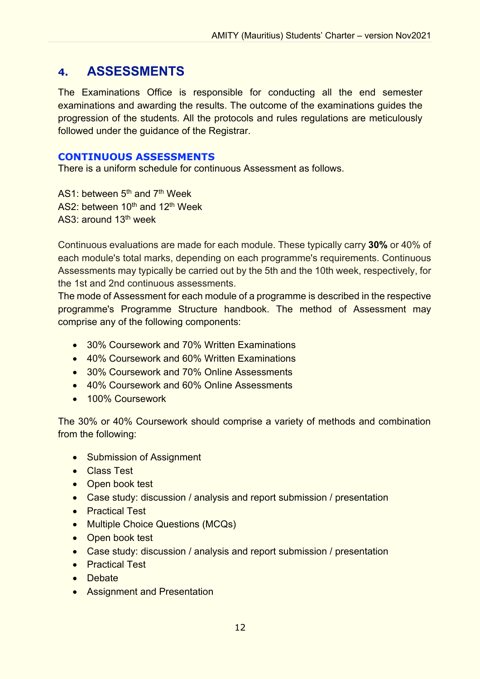## **4. ASSESSMENTS**

The Examinations Office is responsible for conducting all the end semester examinations and awarding the results. The outcome of the examinations guides the progression of the students. All the protocols and rules regulations are meticulously followed under the guidance of the Registrar.

### **CONTINUOUS ASSESSMENTS**

There is a uniform schedule for continuous Assessment as follows.

AS1: between 5<sup>th</sup> and 7<sup>th</sup> Week AS2: between 10<sup>th</sup> and 12<sup>th</sup> Week AS3: around 13th week

Continuous evaluations are made for each module. These typically carry **30%** or 40% of each module's total marks, depending on each programme's requirements. Continuous Assessments may typically be carried out by the 5th and the 10th week, respectively, for the 1st and 2nd continuous assessments.

The mode of Assessment for each module of a programme is described in the respective programme's Programme Structure handbook. The method of Assessment may comprise any of the following components:

- 30% Coursework and 70% Written Examinations
- 40% Coursework and 60% Written Examinations
- 30% Coursework and 70% Online Assessments
- 40% Coursework and 60% Online Assessments
- 100% Coursework

The 30% or 40% Coursework should comprise a variety of methods and combination from the following:

- Submission of Assignment
- Class Test
- Open book test
- Case study: discussion / analysis and report submission / presentation
- Practical Test
- Multiple Choice Questions (MCQs)
- Open book test
- Case study: discussion / analysis and report submission / presentation
- Practical Test
- Debate
- Assignment and Presentation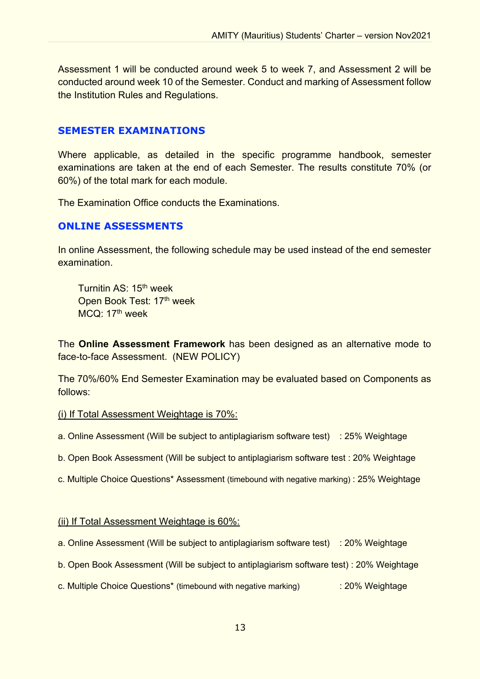Assessment 1 will be conducted around week 5 to week 7, and Assessment 2 will be conducted around week 10 of the Semester. Conduct and marking of Assessment follow the Institution Rules and Regulations.

#### **SEMESTER EXAMINATIONS**

Where applicable, as detailed in the specific programme handbook, semester examinations are taken at the end of each Semester. The results constitute 70% (or 60%) of the total mark for each module.

The Examination Office conducts the Examinations.

#### **ONLINE ASSESSMENTS**

In online Assessment, the following schedule may be used instead of the end semester examination.

Turnitin AS: 15th week Open Book Test: 17<sup>th</sup> week MCQ: 17<sup>th</sup> week

The **Online Assessment Framework** has been designed as an alternative mode to face-to-face Assessment. (NEW POLICY)

The 70%/60% End Semester Examination may be evaluated based on Components as follows:

#### (i) If Total Assessment Weightage is 70%:

a. Online Assessment (Will be subject to antiplagiarism software test) : 25% Weightage

b. Open Book Assessment (Will be subject to antiplagiarism software test : 20% Weightage

c. Multiple Choice Questions\* Assessment (timebound with negative marking) : 25% Weightage

#### (ii) If Total Assessment Weightage is 60%:

- a. Online Assessment (Will be subject to antiplagiarism software test) : 20% Weightage
- b. Open Book Assessment (Will be subject to antiplagiarism software test) : 20% Weightage
- c. Multiple Choice Questions\* (timebound with negative marking) : 20% Weightage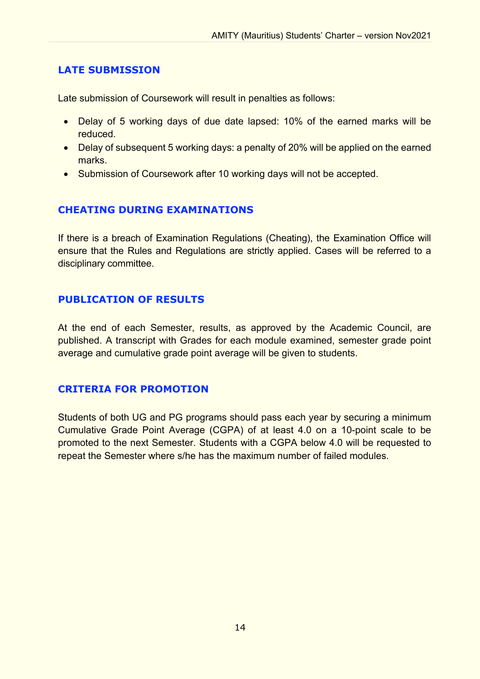## **LATE SUBMISSION**

Late submission of Coursework will result in penalties as follows:

- Delay of 5 working days of due date lapsed: 10% of the earned marks will be reduced.
- Delay of subsequent 5 working days: a penalty of 20% will be applied on the earned marks.
- Submission of Coursework after 10 working days will not be accepted.

## **CHEATING DURING EXAMINATIONS**

If there is a breach of Examination Regulations (Cheating), the Examination Office will ensure that the Rules and Regulations are strictly applied. Cases will be referred to a disciplinary committee.

## **PUBLICATION OF RESULTS**

At the end of each Semester, results, as approved by the Academic Council, are published. A transcript with Grades for each module examined, semester grade point average and cumulative grade point average will be given to students.

## **CRITERIA FOR PROMOTION**

Students of both UG and PG programs should pass each year by securing a minimum Cumulative Grade Point Average (CGPA) of at least 4.0 on a 10-point scale to be promoted to the next Semester. Students with a CGPA below 4.0 will be requested to repeat the Semester where s/he has the maximum number of failed modules.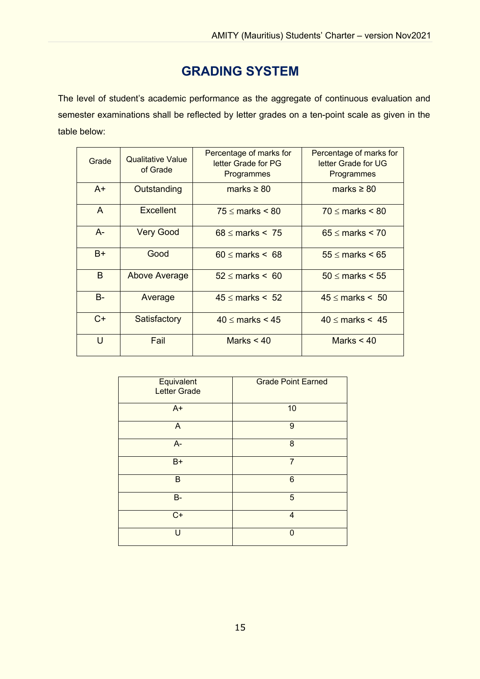## **GRADING SYSTEM**

The level of student's academic performance as the aggregate of continuous evaluation and semester examinations shall be reflected by letter grades on a ten-point scale as given in the table below:

| Grade     | <b>Qualitative Value</b><br>of Grade | Percentage of marks for<br>letter Grade for PG<br>Programmes | Percentage of marks for<br>letter Grade for UG<br>Programmes |
|-----------|--------------------------------------|--------------------------------------------------------------|--------------------------------------------------------------|
| $A+$      | Outstanding                          | marks $\geq 80$                                              | marks $\geq 80$                                              |
| A         | <b>Excellent</b>                     | $75 \leq$ marks $\leq 80$                                    | $70 \leq$ marks $\leq 80$                                    |
| $A-$      | <b>Very Good</b>                     | $68 \leq$ marks $\leq 75$                                    | $65 \leq$ marks $\leq 70$                                    |
| $B+$      | Good                                 | $60 \leq$ marks $\leq 68$                                    | $55 \leq$ marks $\leq 65$                                    |
| B         | <b>Above Average</b>                 | $52 \leq$ marks $\leq 60$                                    | $50 \leq$ marks $\leq 55$                                    |
| <b>B-</b> | Average                              | $45 \leq$ marks $\leq 52$                                    | $45 \leq$ marks $\leq 50$                                    |
| $C+$      | Satisfactory                         | $40 \leq$ marks $\leq 45$                                    | $40 \leq$ marks $\leq 45$                                    |
| $\cup$    | Fail                                 | Marks $< 40$                                                 | Marks $< 40$                                                 |

| Equivalent<br><b>Letter Grade</b> | <b>Grade Point Earned</b> |
|-----------------------------------|---------------------------|
| $A+$                              | 10                        |
| A                                 | 9                         |
| $A -$                             | 8                         |
| $B+$                              | $\overline{7}$            |
| B                                 | 6                         |
| $B -$                             | 5                         |
| $C+$                              | $\overline{4}$            |
| $\mathbf{U}$                      | $\Omega$                  |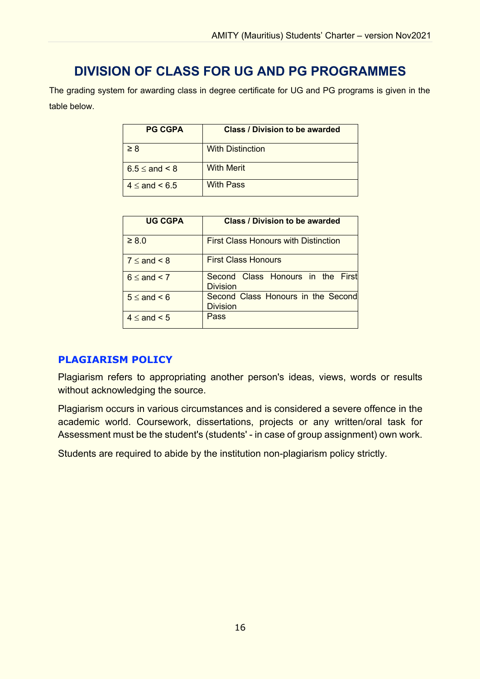## **DIVISION OF CLASS FOR UG AND PG PROGRAMMES**

The grading system for awarding class in degree certificate for UG and PG programs is given in the table below.

| <b>PG CGPA</b>          | <b>Class / Division to be awarded</b> |  |
|-------------------------|---------------------------------------|--|
| $\geq 8$                | <b>With Distinction</b>               |  |
| $6.5 \leq$ and $\leq 8$ | <b>With Merit</b>                     |  |
| $4 \leq$ and $\leq 6.5$ | <b>With Pass</b>                      |  |

| <b>UG CGPA</b>        | <b>Class / Division to be awarded</b>                 |  |
|-----------------------|-------------------------------------------------------|--|
| $\geq 8.0$            | <b>First Class Honours with Distinction</b>           |  |
| $7 \leq$ and $\leq 8$ | <b>First Class Honours</b>                            |  |
| $6 \leq$ and $< 7$    | Second Class Honours in the First<br>Division         |  |
| $5 \leq$ and $\leq 6$ | Second Class Honours in the Second<br><b>Division</b> |  |
| $4 \leq$ and $\leq 5$ | Pass                                                  |  |

### **PLAGIARISM POLICY**

Plagiarism refers to appropriating another person's ideas, views, words or results without acknowledging the source.

Plagiarism occurs in various circumstances and is considered a severe offence in the academic world. Coursework, dissertations, projects or any written/oral task for Assessment must be the student's (students' - in case of group assignment) own work.

Students are required to abide by the institution non-plagiarism policy strictly.